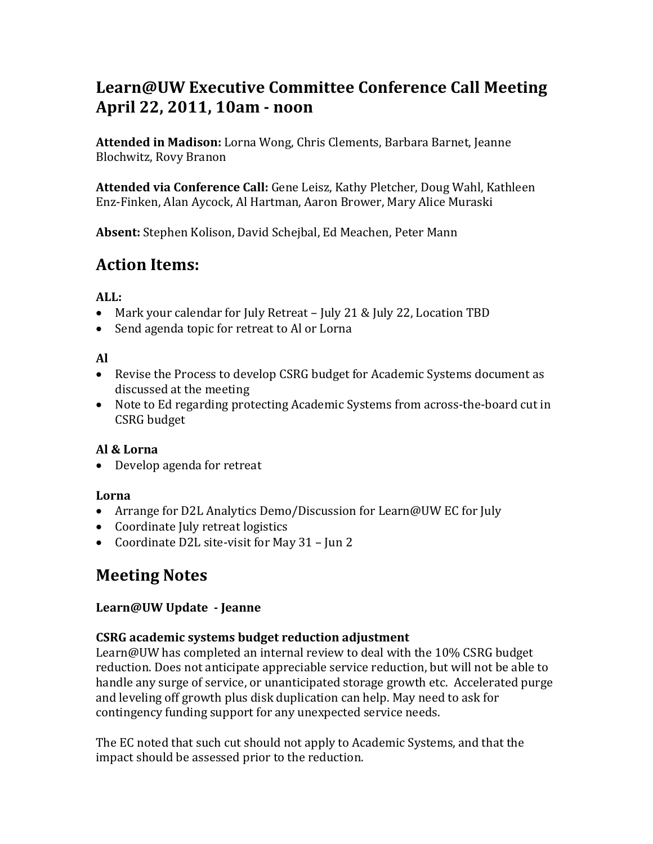# **Learn@UW Executive Committee Conference Call Meeting April 22, 2011, 10am - noon**

**Attended in Madison:** Lorna Wong, Chris Clements, Barbara Barnet, Jeanne Blochwitz, Rovy Branon

**Attended via Conference Call:** Gene Leisz, Kathy Pletcher, Doug Wahl, Kathleen Enz-Finken, Alan Aycock, Al Hartman, Aaron Brower, Mary Alice Muraski

**Absent:** Stephen Kolison, David Schejbal, Ed Meachen, Peter Mann

# **Action Items:**

### **ALL:**

- Mark your calendar for July Retreat July 21 & July 22, Location TBD
- Send agenda topic for retreat to Al or Lorna

### **Al**

- Revise the Process to develop CSRG budget for Academic Systems document as discussed at the meeting
- Note to Ed regarding protecting Academic Systems from across-the-board cut in CSRG budget

# **Al & Lorna**

• Develop agenda for retreat

# **Lorna**

- Arrange for D2L Analytics Demo/Discussion for Learn@UW EC for July
- Coordinate July retreat logistics
- Coordinate D2L site-visit for May 31 Jun 2

# **Meeting Notes**

# **Learn@UW Update - Jeanne**

# **CSRG academic systems budget reduction adjustment**

Learn@UW has completed an internal review to deal with the 10% CSRG budget reduction. Does not anticipate appreciable service reduction, but will not be able to handle any surge of service, or unanticipated storage growth etc. Accelerated purge and leveling off growth plus disk duplication can help. May need to ask for contingency funding support for any unexpected service needs.

The EC noted that such cut should not apply to Academic Systems, and that the impact should be assessed prior to the reduction.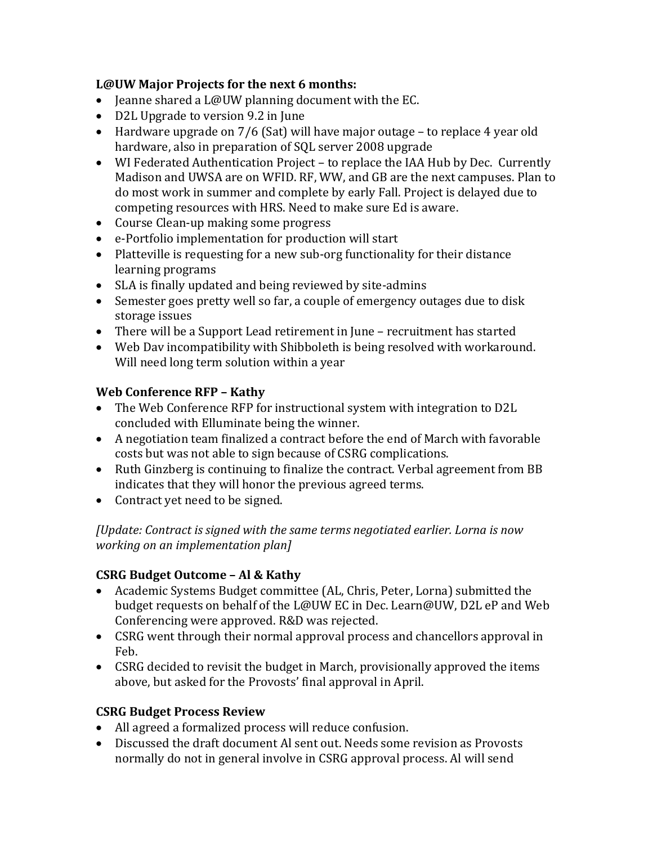#### **L@UW Major Projects for the next 6 months:**

- Jeanne shared a L@UW planning document with the EC.
- D2L Upgrade to version 9.2 in June
- Hardware upgrade on 7/6 (Sat) will have major outage to replace 4 year old hardware, also in preparation of SQL server 2008 upgrade
- WI Federated Authentication Project to replace the IAA Hub by Dec. Currently Madison and UWSA are on WFID. RF, WW, and GB are the next campuses. Plan to do most work in summer and complete by early Fall. Project is delayed due to competing resources with HRS. Need to make sure Ed is aware.
- Course Clean-up making some progress
- e-Portfolio implementation for production will start
- Platteville is requesting for a new sub-org functionality for their distance learning programs
- SLA is finally updated and being reviewed by site-admins
- Semester goes pretty well so far, a couple of emergency outages due to disk storage issues
- There will be a Support Lead retirement in June recruitment has started
- Web Dav incompatibility with Shibboleth is being resolved with workaround. Will need long term solution within a year

### **Web Conference RFP – Kathy**

- The Web Conference RFP for instructional system with integration to D2L concluded with Elluminate being the winner.
- A negotiation team finalized a contract before the end of March with favorable costs but was not able to sign because of CSRG complications.
- Ruth Ginzberg is continuing to finalize the contract. Verbal agreement from BB indicates that they will honor the previous agreed terms.
- Contract yet need to be signed.

*[Update: Contract is signed with the same terms negotiated earlier. Lorna is now working on an implementation plan]*

#### **CSRG Budget Outcome – Al & Kathy**

- Academic Systems Budget committee (AL, Chris, Peter, Lorna) submitted the budget requests on behalf of the L@UW EC in Dec. Learn@UW, D2L eP and Web Conferencing were approved. R&D was rejected.
- CSRG went through their normal approval process and chancellors approval in Feb.
- CSRG decided to revisit the budget in March, provisionally approved the items above, but asked for the Provosts' final approval in April.

# **CSRG Budget Process Review**

- All agreed a formalized process will reduce confusion.
- Discussed the draft document Al sent out. Needs some revision as Provosts normally do not in general involve in CSRG approval process. Al will send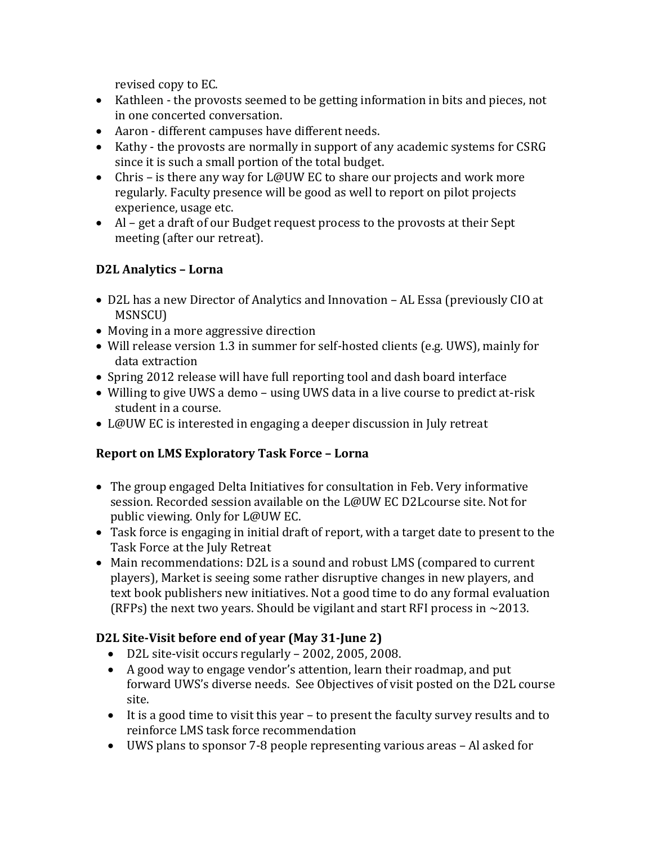revised copy to EC.

- Kathleen the provosts seemed to be getting information in bits and pieces, not in one concerted conversation.
- Aaron different campuses have different needs.
- Kathy the provosts are normally in support of any academic systems for CSRG since it is such a small portion of the total budget.
- Chris is there any way for L@UW EC to share our projects and work more regularly. Faculty presence will be good as well to report on pilot projects experience, usage etc.
- Al get a draft of our Budget request process to the provosts at their Sept meeting (after our retreat).

# **D2L Analytics – Lorna**

- D2L has a new Director of Analytics and Innovation AL Essa (previously CIO at MSNSCU)
- Moving in a more aggressive direction
- Will release version 1.3 in summer for self-hosted clients (e.g. UWS), mainly for data extraction
- Spring 2012 release will have full reporting tool and dash board interface
- Willing to give UWS a demo using UWS data in a live course to predict at-risk student in a course.
- L@UW EC is interested in engaging a deeper discussion in July retreat

# **Report on LMS Exploratory Task Force – Lorna**

- The group engaged Delta Initiatives for consultation in Feb. Very informative session. Recorded session available on the L@UW EC D2Lcourse site. Not for public viewing. Only for L@UW EC.
- Task force is engaging in initial draft of report, with a target date to present to the Task Force at the July Retreat
- Main recommendations: D2L is a sound and robust LMS (compared to current players), Market is seeing some rather disruptive changes in new players, and text book publishers new initiatives. Not a good time to do any formal evaluation (RFPs) the next two years. Should be vigilant and start RFI process in  $\sim$ 2013.

# **D2L Site-Visit before end of year (May 31-June 2)**

- D2L site-visit occurs regularly 2002, 2005, 2008.
- A good way to engage vendor's attention, learn their roadmap, and put forward UWS's diverse needs. See Objectives of visit posted on the D2L course site.
- It is a good time to visit this year to present the faculty survey results and to reinforce LMS task force recommendation
- UWS plans to sponsor 7-8 people representing various areas Al asked for